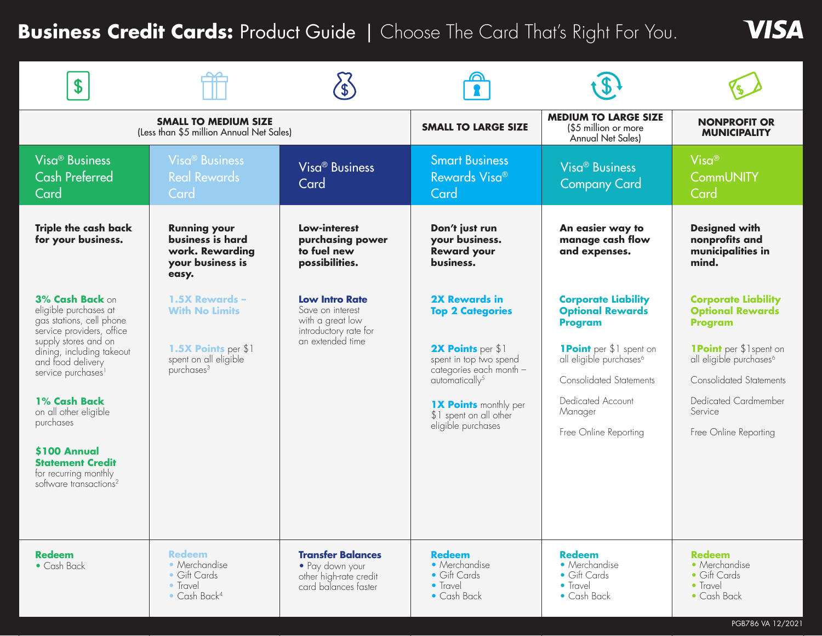# **Business Credit Cards: Product Guide | Choose The Card That's Right For You.**

| \$                                                                                                                                                                                                                                                                                                                                                                            |                                                                                                                   |                                                                                                            |                                                                                                                                                                                                                                         |                                                                                                                                                                                                                                             |                                                                                                                                                                                                                                        |
|-------------------------------------------------------------------------------------------------------------------------------------------------------------------------------------------------------------------------------------------------------------------------------------------------------------------------------------------------------------------------------|-------------------------------------------------------------------------------------------------------------------|------------------------------------------------------------------------------------------------------------|-----------------------------------------------------------------------------------------------------------------------------------------------------------------------------------------------------------------------------------------|---------------------------------------------------------------------------------------------------------------------------------------------------------------------------------------------------------------------------------------------|----------------------------------------------------------------------------------------------------------------------------------------------------------------------------------------------------------------------------------------|
|                                                                                                                                                                                                                                                                                                                                                                               | <b>SMALL TO MEDIUM SIZE</b><br>(Less than \$5 million Annual Net Sales)                                           |                                                                                                            | <b>SMALL TO LARGE SIZE</b>                                                                                                                                                                                                              | <b>MEDIUM TO LARGE SIZE</b><br>(\$5 million or more<br>Annual Net Sales)                                                                                                                                                                    | <b>NONPROFIT OR</b><br><b>MUNICIPALITY</b>                                                                                                                                                                                             |
| Visa <sup>®</sup> Business<br><b>Cash Preferred</b><br>Card                                                                                                                                                                                                                                                                                                                   | <b>Visa<sup>®</sup> Business</b><br><b>Real Rewards</b><br>Card                                                   | Visa <sup>®</sup> Business<br>Card                                                                         | <b>Smart Business</b><br>Rewards Visa®<br>Card                                                                                                                                                                                          | Visa <sup>®</sup> Business<br><b>Company Card</b>                                                                                                                                                                                           | $Visa^@$<br><b>CommUNITY</b><br>Card                                                                                                                                                                                                   |
| <b>Triple the cash back</b><br>for your business.                                                                                                                                                                                                                                                                                                                             | <b>Running your</b><br>business is hard<br>work. Rewarding<br>your business is<br>easy.                           | Low-interest<br>purchasing power<br>to fuel new<br>possibilities.                                          | Don't just run<br>your business.<br><b>Reward your</b><br>business.                                                                                                                                                                     | An easier way to<br>manage cash flow<br>and expenses.                                                                                                                                                                                       | <b>Designed with</b><br>nonprofits and<br>municipalities in<br>mind.                                                                                                                                                                   |
| 3% Cash Back on<br>eligible purchases at<br>gas stations, cell phone<br>service providers, office<br>supply stores and on<br>dining, including takeout<br>and food delivery<br>service purchases <sup>1</sup><br>1% Cash Back<br>on all other eligible<br>purchases<br>\$100 Annual<br><b>Statement Credit</b><br>for recurring monthly<br>software transactions <sup>2</sup> | 1.5X Rewards -<br><b>With No Limits</b><br>1.5X Points per \$1<br>spent on all eligible<br>purchases <sup>3</sup> | <b>Low Intro Rate</b><br>Save on interest<br>with a great low<br>introductory rate for<br>an extended time | <b>2X Rewards in</b><br><b>Top 2 Categories</b><br>2X Points per \$1<br>spent in top two spend<br>categories each month -<br>automatically <sup>5</sup><br><b>1X Points monthly per</b><br>\$1 spent on all other<br>eligible purchases | <b>Corporate Liability</b><br><b>Optional Rewards</b><br><b>Program</b><br><b>1Point</b> per \$1 spent on<br>all eligible purchases <sup>6</sup><br><b>Consolidated Statements</b><br>Dedicated Account<br>Manager<br>Free Online Reporting | <b>Corporate Liability</b><br><b>Optional Rewards</b><br>Program<br><b>1Point</b> per \$1spent on<br>all eligible purchases <sup>6</sup><br><b>Consolidated Statements</b><br>Dedicated Cardmember<br>Service<br>Free Online Reporting |
| <b>Redeem</b><br>$\bullet$ Cash Back                                                                                                                                                                                                                                                                                                                                          | <b>Redeem</b><br>• Merchandise<br>• Gift Cards<br>• Travel<br>$\bullet$ Cash Back <sup>4</sup>                    | <b>Transfer Balances</b><br>• Pay down your<br>other high-rate credit<br>card balances faster              | <b>Redeem</b><br>• Merchandise<br>• Gift Cards<br>• Travel<br>• Cash Back                                                                                                                                                               | <b>Redeem</b><br>• Merchandise<br>• Gift Cards<br>• Travel<br>• Cash Back                                                                                                                                                                   | <b>Redeem</b><br>• Merchandise<br>• Gift Cards<br>• Travel<br>• Cash Back                                                                                                                                                              |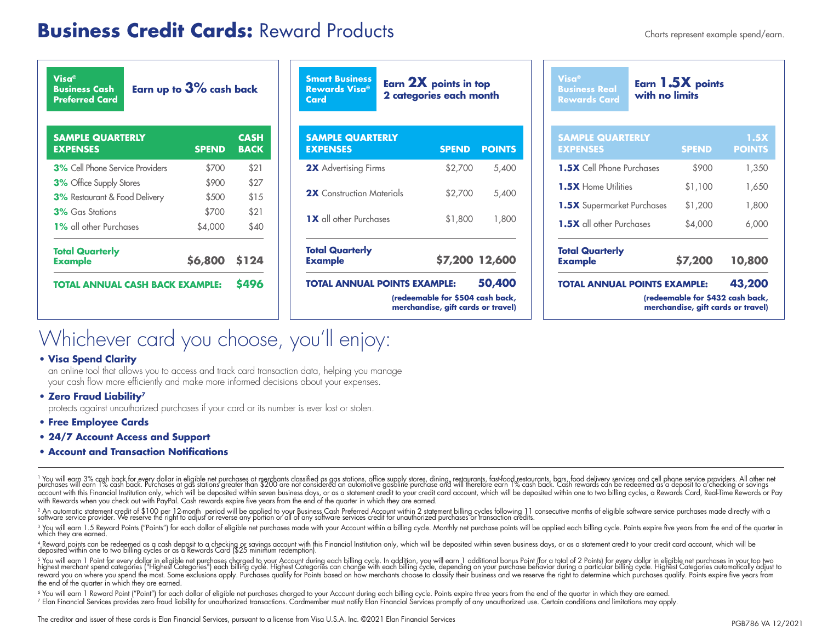## **Business Credit Cards:** Reward Products **Charts represent example spend/earn.**

| Visa®<br>Earn up to $3\%$ cash back<br><b>Business Cash</b><br><b>Preferred Card</b> |               |                            |  |  |  |
|--------------------------------------------------------------------------------------|---------------|----------------------------|--|--|--|
| <b>SAMPLE QUARTERLY</b><br><b>EXPENSES</b>                                           | <b>SPEND</b>  | <b>CASH</b><br><b>BACK</b> |  |  |  |
| <b>3%</b> Cell Phone Service Providers                                               | \$700         | \$21                       |  |  |  |
| 3% Office Supply Stores                                                              | \$900         | \$27                       |  |  |  |
| <b>3%</b> Restaurant & Food Delivery                                                 | \$500         | \$15                       |  |  |  |
| 3% Gas Stations                                                                      | \$700         | \$21                       |  |  |  |
| <b>1%</b> all other Purchases                                                        | \$4,000       | \$40                       |  |  |  |
| <b>Total Quarterly</b><br><b>Example</b>                                             | \$6,800 \$124 |                            |  |  |  |
| TOTAL ANNUAL CASH BACK EXAMPLE:                                                      |               | 5496                       |  |  |  |

**Smart Business Rewards Visa® Card**

**Earn 2X points in top 2 categories each month**

| <b>TOTAL ANNUAL POINTS EXAMPLE:</b>        | (redeemable for \$504 cash back, | 50,400         |
|--------------------------------------------|----------------------------------|----------------|
| <b>Total Quarterly</b><br><b>Example</b>   |                                  | \$7,200 12,600 |
| <b>1X</b> all other Purchases              | \$1,800                          | 1,800          |
| 2X Construction Materials                  | \$2,700                          | 5,400          |
| <b>2X</b> Advertising Firms                | \$2,700                          | 5,400          |
| <b>SAMPLE QUARTERLY</b><br><b>EXPENSES</b> | <b>SPEND</b>                     | <b>POINTS</b>  |

| \$1,200<br>\$4,000 | 1,800<br>6,000        |
|--------------------|-----------------------|
|                    |                       |
|                    |                       |
|                    |                       |
| \$1,100            | 1,650                 |
| \$900              | 1,350                 |
| <b>SPEND</b>       | 1.5X<br><b>POINTS</b> |
|                    | with no limits        |

# Whichever card you choose, you'll enjoy:

#### **• Visa Spend Clarity**

an online tool that allows you to access and track card transaction data, helping you manage your cash flow more efficiently and make more informed decisions about your expenses.

#### **• Zero Fraud Liability7**

protects against unauthorized purchases if your card or its number is ever lost or stolen.

- **• Free Employee Cards**
- **• 24/7 Account Access and Support**
- **• Account and Transaction Notifications**

<sup>1</sup> You will earn 3% cash back for every dollar in eligible net purchases at merchants classified as gas stations, office supply stores, dining, restaurants, fast-food restaurants, bars, food delivery services and cell pho with Rewards when you check out with PayPal. Cash rewards expire five years from the end of the quarter in which they are earned.

2 An automatic statement credit of \$100 per 12-month period will be applied to your Business Cash Preferred Account within 2 statement billing cycles following 11 consecutive months of eligible software service purchases m

<sup>3</sup> You will earn 1.5 Reward Points ("Points") for each dollar of eligible net purchases made with your Account within a billing cycle. Monthly net purchase points will be applied each billing cycle. Points expire five yea which they are earned.

4 Reward points can be redeemed as a cash deposit to a checking or savings account with this Financial Institution only, which will be deposited within seven business days, or as a statement credit to your credit card acco

° You will earn 1 Point for every dollar in eligible net purchases charged to your Account during each billing cycle. In addition, you will earn 1 additional bonus Point (for a total of 2 Points) for every dollar in eligib the end of the quarter in which they are earned.

<sup>6</sup> You will earn 1 Reward Point ("Point") for each dollar of eligible net purchases charged to your Account during each billing cycle. Points expire three years from the end of the quarter in which they are earned.

<sup>7</sup> Elan Financial Services provides zero fraud liability for unauthorized transactions. Cardmember must notify Elan Financial Services promptly of any unauthorized use. Certain conditions and limitations may apply.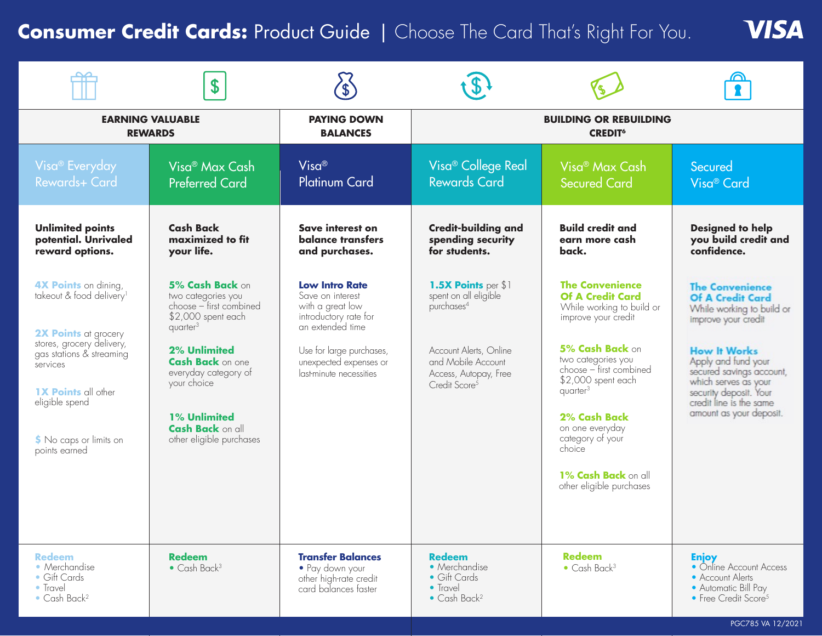# **Consumer Credit Cards: Product Guide | Choose The Card That's Right For You.**

**VISA** 

|                                                                                                                                                                                                                                                             | \$                                                                                                                                                                                                                                                                                    |                                                                                                                                                                                             |                                                                                                                                                                              |                                                                                                                                                                                                                                                                                                                                    |                                                                                                                                                                                                                                                                                         |
|-------------------------------------------------------------------------------------------------------------------------------------------------------------------------------------------------------------------------------------------------------------|---------------------------------------------------------------------------------------------------------------------------------------------------------------------------------------------------------------------------------------------------------------------------------------|---------------------------------------------------------------------------------------------------------------------------------------------------------------------------------------------|------------------------------------------------------------------------------------------------------------------------------------------------------------------------------|------------------------------------------------------------------------------------------------------------------------------------------------------------------------------------------------------------------------------------------------------------------------------------------------------------------------------------|-----------------------------------------------------------------------------------------------------------------------------------------------------------------------------------------------------------------------------------------------------------------------------------------|
|                                                                                                                                                                                                                                                             | <b>EARNING VALUABLE</b><br><b>REWARDS</b>                                                                                                                                                                                                                                             | <b>PAYING DOWN</b><br><b>BALANCES</b>                                                                                                                                                       |                                                                                                                                                                              | <b>BUILDING OR REBUILDING</b><br><b>CREDIT<sup>6</sup></b>                                                                                                                                                                                                                                                                         |                                                                                                                                                                                                                                                                                         |
| Visa <sup>®</sup> Everyday<br>Rewards+ Card                                                                                                                                                                                                                 | Visa® Max Cash<br><b>Preferred Card</b>                                                                                                                                                                                                                                               | Visa <sup>®</sup><br><b>Platinum Card</b>                                                                                                                                                   | Visa <sup>®</sup> College Real<br><b>Rewards Card</b>                                                                                                                        | Visa <sup>®</sup> Max Cash<br><b>Secured Card</b>                                                                                                                                                                                                                                                                                  | Secured<br>Visa <sup>®</sup> Card                                                                                                                                                                                                                                                       |
| <b>Unlimited points</b><br>potential. Unrivaled<br>reward options.                                                                                                                                                                                          | <b>Cash Back</b><br>maximized to fit<br>your life.                                                                                                                                                                                                                                    | Save interest on<br><b>balance transfers</b><br>and purchases.                                                                                                                              | <b>Credit-building and</b><br>spending security<br>for students.                                                                                                             | <b>Build credit and</b><br>earn more cash<br>back.                                                                                                                                                                                                                                                                                 | <b>Designed to help</b><br>you build credit and<br>confidence.                                                                                                                                                                                                                          |
| <b>4X Points</b> on dining,<br>takeout & food delivery <sup>1</sup><br>2X Points at grocery<br>stores, grocery delivery,<br>gas stations & streaming<br>services<br><b>1X Points</b> all other<br>eligible spend<br>S No caps or limits on<br>points earned | 5% Cash Back on<br>two categories you<br>choose - first combined<br>\$2,000 spent each<br>quarter <sup>3</sup><br><b>2% Unlimited</b><br><b>Cash Back on one</b><br>everyday category of<br>your choice<br><b>1% Unlimited</b><br><b>Cash Back on all</b><br>other eligible purchases | <b>Low Intro Rate</b><br>Save on interest<br>with a great low<br>introductory rate for<br>an extended time<br>Use for large purchases,<br>unexpected expenses or<br>last-minute necessities | 1.5X Points per \$1<br>spent on all eligible<br>purchases <sup>4</sup><br>Account Alerts, Online<br>and Mobile Account<br>Access, Autopay, Free<br>Credit Score <sup>5</sup> | <b>The Convenience</b><br><b>Of A Credit Card</b><br>While working to build or<br>improve your credit<br>5% Cash Back on<br>two categories you<br>choose - first combined<br>\$2,000 spent each<br>quarter $3$<br>2% Cash Back<br>on one everyday<br>category of your<br>choice<br>1% Cash Back on all<br>other eligible purchases | <b>The Convenience</b><br><b>Of A Credit Card</b><br>While working to build or<br>improve your credit<br><b>How It Works</b><br>Apply and fund your<br>secured savings account,<br>which serves as your<br>security deposit. Your<br>credit line is the same<br>amount as your deposit. |
| <b>Redeem</b><br>• Merchandise<br>• Gift Cards<br>• Travel<br>$\bullet$ Cash Back <sup>2</sup>                                                                                                                                                              | <b>Redeem</b><br>$\bullet$ Cash Back <sup>3</sup>                                                                                                                                                                                                                                     | <b>Transfer Balances</b><br>· Pay down your<br>other high-rate credit<br>card balances faster                                                                                               | <b>Redeem</b><br>• Merchandise<br>• Gift Cards<br>• Travel<br>$\bullet$ Cash Back <sup>2</sup>                                                                               | <b>Redeem</b><br>$\bullet$ Cash Back <sup>3</sup>                                                                                                                                                                                                                                                                                  | <b>Enjoy</b><br>• Online Account Access<br>• Account Alerts<br>• Automatic Bill Pay<br>• Free Credit Score <sup>5</sup>                                                                                                                                                                 |